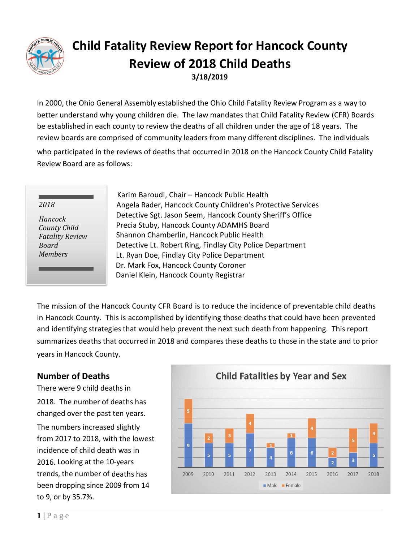

# **Child Fatality Review Report for Hancock County Review of 2018 Child Deaths 3/18/2019**

In 2000, the Ohio General Assembly established the Ohio Child Fatality Review Program as a way to better understand why young children die. The law mandates that Child Fatality Review (CFR) Boards be established in each county to review the deaths of all children under the age of 18 years. The review boards are comprised of community leaders from many different disciplines. The individuals who participated in the reviews of deaths that occurred in 2018 on the Hancock County Child Fatality Review Board are as follows:

#### *2018*

*Hancock County Child Fatality Review Board Members*

Karim Baroudi, Chair – Hancock Public Health Angela Rader, Hancock County Children's Protective Services Detective Sgt. Jason Seem, Hancock County Sheriff's Office Precia Stuby, Hancock County ADAMHS Board Shannon Chamberlin, Hancock Public Health Detective Lt. Robert Ring, Findlay City Police Department Lt. Ryan Doe, Findlay City Police Department Dr. Mark Fox, Hancock County Coroner Daniel Klein, Hancock County Registrar

The mission of the Hancock County CFR Board is to reduce the incidence of preventable child deaths in Hancock County. This is accomplished by identifying those deaths that could have been prevented and identifying strategies that would help prevent the next such death from happening. This report summarizes deaths that occurred in 2018 and compares these deaths to those in the state and to prior years in Hancock County.

### **Number of Deaths**

There were 9 child deaths in 2018. The number of deaths has changed over the past ten years.

The numbers increased slightly from 2017 to 2018, with the lowest incidence of child death was in 2016. Looking at the 10-years trends, the number of deaths has been dropping since 2009 from 14 to 9, or by 35.7%.

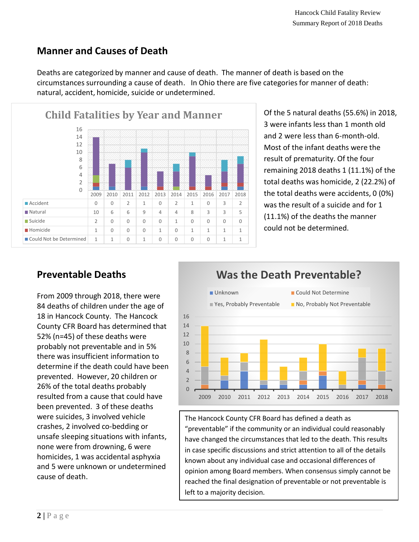## **Manner and Causes of Death**

Deaths are categorized by manner and cause of death. The manner of death is based on the circumstances surrounding a cause of death. In Ohio there are five categories for manner of death: natural, accident, homicide, suicide or undetermined.



Of the 5 natural deaths (55.6%) in 2018, 3 were infants less than 1 month old and 2 were less than 6-month-old. Most of the infant deaths were the result of prematurity. Of the four remaining 2018 deaths 1 (11.1%) of the total deaths was homicide, 2 (22.2%) of the total deaths were accidents, 0 (0%) was the result of a suicide and for 1 (11.1%) of the deaths the manner could not be determined.

# **Preventable Deaths**

From 2009 through 2018, there were 84 deaths of children under the age of 18 in Hancock County. The Hancock County CFR Board has determined that 52% (n=45) of these deaths were probably not preventable and in 5% there was insufficient information to determine if the death could have been prevented. However, 20 children or 26% of the total deaths probably resulted from a cause that could have been prevented. 3 of these deaths were suicides, 3 involved vehicle crashes, 2 involved co-bedding or unsafe sleeping situations with infants, none were from drowning, 6 were homicides, 1 was accidental asphyxia and 5 were unknown or undetermined cause of death.



# **Was the Death Preventable?**

The Hancock County CFR Board has defined a death as "preventable" if the community or an individual could reasonably have changed the circumstances that led to the death. This results in case specific discussions and strict attention to all of the details known about any individual case and occasional differences of opinion among Board members. When consensus simply cannot be reached the final designation of preventable or not preventable is left to a majority decision.